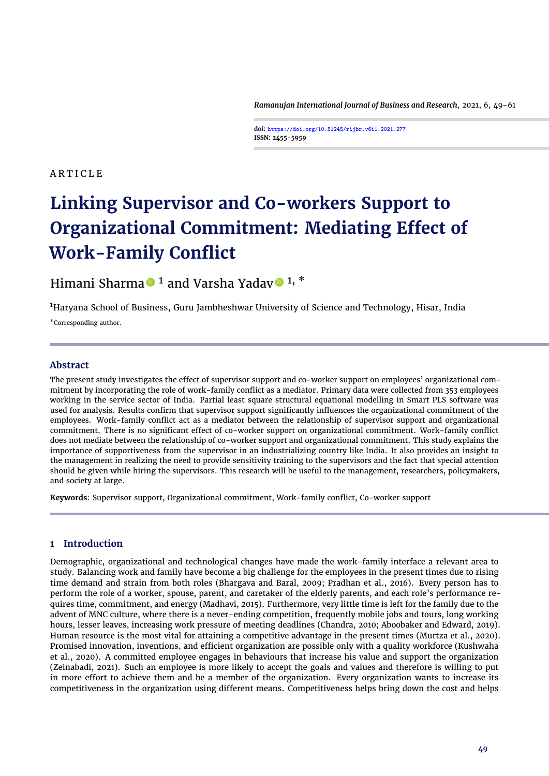*Ramanujan International Journal of Business and Research*, 2021, 6, 49[-61](#page-12-0)

**doi: https://doi.org/10.51245/rijbr.v6i1.2021.277 ISSN: 2455-5959**

# **ARTICLE**

# **Linking Supervisor and Co-workers Support to Organizational Commitment: Mediating Effect of Work-Family Conflict**

Himani Sharma  $\bullet$  <sup>1</sup> and Varsha Yadav  $\bullet$  <sup>1, \*</sup>

<sup>1</sup>Haryana School of Business, Guru Jambheshwar University of Science and Technology, Hisar, India

\*Corresponding author.

# **Abstract**

The present study investigates the effect of supervisor support and co-worker support on employees' organizational commitment by incorporating the role of work-family conflict as a mediator. Primary data were collected from 353 employees working in the service sector of India. Partial least square structural equational modelling in Smart PLS software was used for analysis. Results confirm that supervisor support significantly influences the organizational commitment of the employees. Work-family conflict act as a mediator between the relationship of supervisor support and organizational commitment. There is no significant effect of co-worker support on organizational commitment. Work-family conflict does not mediate between the relationship of co-worker support and organizational commitment. This study explains the importance of supportiveness from the supervisor in an industrializing country like India. It also provides an insight to the management in realizing the need to provide sensitivity training to the supervisors and the fact that special attention should be given while hiring the supervisors. This research will be useful to the management, researchers, policymakers, and society at large.

**Keywords**: Supervisor support, Organizational commitment, Work-family conflict, Co-worker support

# **1 Introduction**

Demographic, organizational and technological changes have made the work-family interface a relevant area to study. Balancing work and family have become a big challenge for the employees in the present times due to rising time demand and strain from both roles [\(Bhargava and Baral,](#page-9-0) [2009;](#page-9-0) [Pradhan et al.,](#page-11-0) [2016\)](#page-11-0). Every person has to perform the role of a worker, spouse, parent, and caretaker of the elderly parents, and each role's performance requires time, commitment, and energy [\(Madhavi,](#page-11-1) [2015\)](#page-11-1). Furthermore, very little time is left for the family due to the advent of MNC culture, where there is a never-ending competition, frequently mobile jobs and tours, long working hours, lesser leaves, increasing work pressure of meeting deadlines [\(Chandra,](#page-9-1) [2010;](#page-9-1) [Aboobaker and Edward,](#page-9-2) [2019\)](#page-9-2). Human resource is the most vital for attaining a competitive advantage in the present times [\(Murtza et al.,](#page-11-2) [2020\)](#page-11-2). Promised innovation, inventions, and efficient organization are possible only with a quality workforce [\(Kushwaha](#page-10-0) [et al.,](#page-10-0) [2020\)](#page-10-0). A committed employee engages in behaviours that increase his value and support the organization [\(Zeinabadi,](#page-12-1) [2021\)](#page-12-1). Such an employee is more likely to accept the goals and values and therefore is willing to put in more effort to achieve them and be a member of the organization. Every organization wants to increase its competitiveness in the organization using different means. Competitiveness helps bring down the cost and helps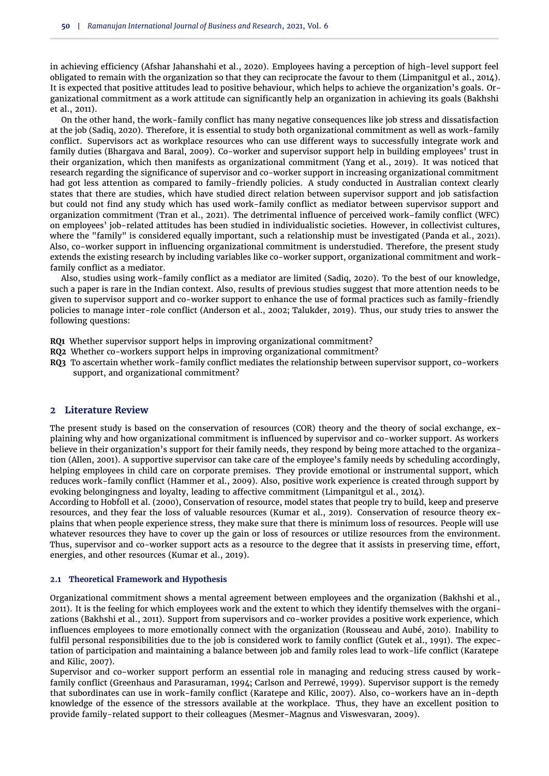in achieving efficiency [\(Afshar Jahanshahi et al.,](#page-9-3) [2020\)](#page-9-3). Employees having a perception of high-level support feel obligated to remain with the organization so that they can reciprocate the favour to them [\(Limpanitgul et al.,](#page-11-3) [2014\)](#page-11-3). It is expected that positive attitudes lead to positive behaviour, which helps to achieve the organization's goals. Organizational commitment as a work attitude can significantly help an organization in achieving its goals [\(Bakhshi](#page-9-4) [et al.,](#page-9-4) [2011\)](#page-9-4).

On the other hand, the work-family conflict has many negative consequences like job stress and dissatisfaction at the job [\(Sadiq,](#page-11-4) [2020\)](#page-11-4). Therefore, it is essential to study both organizational commitment as well as work-family conflict. Supervisors act as workplace resources who can use different ways to successfully integrate work and family duties [\(Bhargava and Baral,](#page-9-0) [2009\)](#page-9-0). Co-worker and supervisor support help in building employees' trust in their organization, which then manifests as organizational commitment [\(Yang et al.,](#page-12-2) [2019\)](#page-12-2). It was noticed that research regarding the significance of supervisor and co-worker support in increasing organizational commitment had got less attention as compared to family-friendly policies. A study conducted in Australian context clearly states that there are studies, which have studied direct relation between supervisor support and job satisfaction but could not find any study which has used work-family conflict as mediator between supervisor support and organization commitment [\(Tran et al.,](#page-12-3) [2021\)](#page-12-3). The detrimental influence of perceived work–family conflict (WFC) on employees' job-related attitudes has been studied in individualistic societies. However, in collectivist cultures, where the "family" is considered equally important, such a relationship must be investigated [\(Panda et al.,](#page-11-5) [2021\)](#page-11-5). Also, co-worker support in influencing organizational commitment is understudied. Therefore, the present study extends the existing research by including variables like co-worker support, organizational commitment and workfamily conflict as a mediator.

Also, studies using work-family conflict as a mediator are limited [\(Sadiq,](#page-11-4) [2020\)](#page-11-4). To the best of our knowledge, such a paper is rare in the Indian context. Also, results of previous studies suggest that more attention needs to be given to supervisor support and co-worker support to enhance the use of formal practices such as family-friendly policies to manage inter-role conflict [\(Anderson et al.,](#page-9-5) [2002;](#page-9-5) [Talukder,](#page-12-4) [2019\)](#page-12-4). Thus, our study tries to answer the following questions:

- **RQ1** Whether supervisor support helps in improving organizational commitment?
- **RQ2** Whether co-workers support helps in improving organizational commitment?
- **RQ3** To ascertain whether work-family conflict mediates the relationship between supervisor support, co-workers support, and organizational commitment?

## **2 Literature Review**

The present study is based on the conservation of resources (COR) theory and the theory of social exchange, explaining why and how organizational commitment is influenced by supervisor and co-worker support. As workers believe in their organization's support for their family needs, they respond by being more attached to the organization [\(Allen,](#page-9-6) [2001\)](#page-9-6). A supportive supervisor can take care of the employee's family needs by scheduling accordingly, helping employees in child care on corporate premises. They provide emotional or instrumental support, which reduces work-family conflict [\(Hammer et al.,](#page-10-1) [2009\)](#page-10-1). Also, positive work experience is created through support by evoking belongingness and loyalty, leading to affective commitment [\(Limpanitgul et al.,](#page-11-3) [2014\)](#page-11-3).

According to [Hobfoll et al.](#page-10-2) [\(2000\)](#page-10-2), Conservation of resource, model states that people try to build, keep and preserve resources, and they fear the loss of valuable resources [\(Kumar et al.,](#page-10-3) [2019\)](#page-10-3). Conservation of resource theory explains that when people experience stress, they make sure that there is minimum loss of resources. People will use whatever resources they have to cover up the gain or loss of resources or utilize resources from the environment. Thus, supervisor and co-worker support acts as a resource to the degree that it assists in preserving time, effort, energies, and other resources [\(Kumar et al.,](#page-10-3) [2019\)](#page-10-3).

#### **2.1 Theoretical Framework and Hypothesis**

Organizational commitment shows a mental agreement between employees and the organization [\(Bakhshi et al.,](#page-9-4) [2011\)](#page-9-4). It is the feeling for which employees work and the extent to which they identify themselves with the organizations [\(Bakhshi et al.,](#page-9-4) [2011\)](#page-9-4). Support from supervisors and co-worker provides a positive work experience, which influences employees to more emotionally connect with the organization [\(Rousseau and Aubé,](#page-11-6) [2010\)](#page-11-6). Inability to fulfil personal responsibilities due to the job is considered work to family conflict [\(Gutek et al.,](#page-10-4) [1991\)](#page-10-4). The expectation of participation and maintaining a balance between job and family roles lead to work-life conflict [\(Karatepe](#page-10-5) [and Kilic,](#page-10-5) [2007\)](#page-10-5).

Supervisor and co-worker support perform an essential role in managing and reducing stress caused by workfamily conflict [\(Greenhaus and Parasuraman,](#page-10-6) [1994;](#page-10-6) [Carlson and Perrewé,](#page-9-7) [1999\)](#page-9-7). Supervisor support is the remedy that subordinates can use in work-family conflict [\(Karatepe and Kilic,](#page-10-5) [2007\)](#page-10-5). Also, co-workers have an in-depth knowledge of the essence of the stressors available at the workplace. Thus, they have an excellent position to provide family-related support to their colleagues [\(Mesmer-Magnus and Viswesvaran,](#page-11-7) [2009\)](#page-11-7).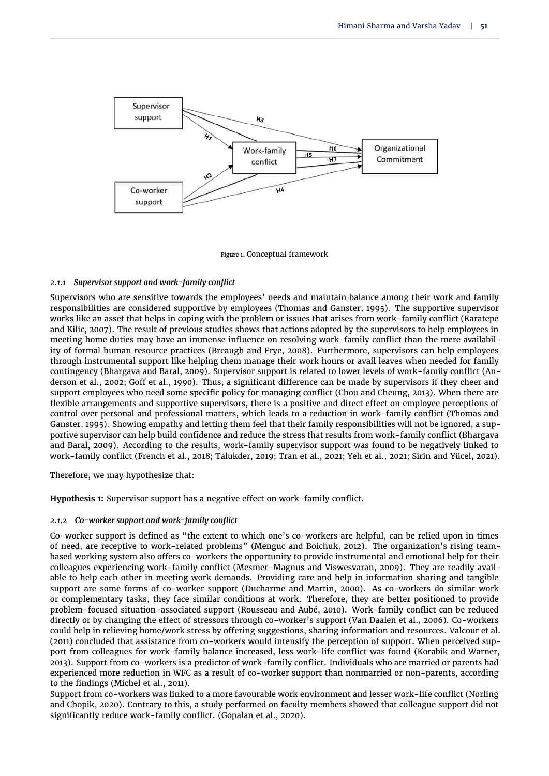

**Figure 1.** Conceptual framework

#### *2.1.1 Supervisor support and work-family conflict*

Supervisors who are sensitive towards the employees' needs and maintain balance among their work and family responsibilities are considered supportive by employees [\(Thomas and Ganster,](#page-12-5) [1995\)](#page-12-5). The supportive supervisor works like an asset that helps in coping with the problem or issues that arises from work-family conflict [\(Karatepe](#page-10-5) [and Kilic,](#page-10-5) [2007\)](#page-10-5). The result of previous studies shows that actions adopted by the supervisors to help employees in meeting home duties may have an immense influence on resolving work-family conflict than the mere availability of formal human resource practices [\(Breaugh and Frye,](#page-9-8) [2008\)](#page-9-8). Furthermore, supervisors can help employees through instrumental support like helping them manage their work hours or avail leaves when needed for family contingency [\(Bhargava and Baral,](#page-9-0) [2009\)](#page-9-0). Supervisor support is related to lower levels of work-family conflict [\(An](#page-9-5)[derson et al.,](#page-9-5) [2002;](#page-9-5) [Goff et al.,](#page-10-7) [1990\)](#page-10-7). Thus, a significant difference can be made by supervisors if they cheer and support employees who need some specific policy for managing conflict [\(Chou and Cheung,](#page-9-9) [2013\)](#page-9-9). When there are flexible arrangements and supportive supervisors, there is a positive and direct effect on employee perceptions of control over personal and professional matters, which leads to a reduction in work-family conflict [\(Thomas and](#page-12-5) [Ganster,](#page-12-5) [1995\)](#page-12-5). Showing empathy and letting them feel that their family responsibilities will not be ignored, a supportive supervisor can help build confidence and reduce the stress that results from work-family conflict [\(Bhargava](#page-9-0) [and Baral,](#page-9-0) [2009\)](#page-9-0). According to the results, work-family supervisor support was found to be negatively linked to work-family conflict [\(French et al.,](#page-9-10) [2018;](#page-9-10) [Talukder,](#page-12-4) [2019;](#page-12-4) [Tran et al.,](#page-12-3) [2021;](#page-12-3) [Yeh et al.,](#page-12-6) [2021;](#page-12-6) [Sirin and Yücel,](#page-12-7) [2021\)](#page-12-7).

Therefore, we may hypothesize that:

**Hypothesis 1:** Supervisor support has a negative effect on work-family conflict.

#### *2.1.2 Co-worker support and work-family conflict*

Co-worker support is defined as "the extent to which one's co-workers are helpful, can be relied upon in times of need, are receptive to work-related problems" [\(Menguc and Boichuk,](#page-11-8) [2012\)](#page-11-8). The organization's rising teambased working system also offers co-workers the opportunity to provide instrumental and emotional help for their colleagues experiencing work-family conflict [\(Mesmer-Magnus and Viswesvaran,](#page-11-7) [2009\)](#page-11-7). They are readily available to help each other in meeting work demands. Providing care and help in information sharing and tangible support are some forms of co-worker support [\(Ducharme and Martin,](#page-9-11) [2000\)](#page-9-11). As co-workers do similar work or complementary tasks, they face similar conditions at work. Therefore, they are better positioned to provide problem-focused situation-associated support [\(Rousseau and Aubé,](#page-11-6) [2010\)](#page-11-6). Work-family conflict can be reduced directly or by changing the effect of stressors through co-worker's support [\(Van Daalen et al.,](#page-12-8) [2006\)](#page-12-8). Co-workers could help in relieving home/work stress by offering suggestions, sharing information and resources. [Valcour et al.](#page-12-9) [\(2011\)](#page-12-9) concluded that assistance from co-workers would intensify the perception of support. When perceived support from colleagues for work-family balance increased, less work-life conflict was found [\(Korabik and Warner,](#page-10-8) [2013\)](#page-10-8). Support from co-workers is a predictor of work-family conflict. Individuals who are married or parents had experienced more reduction in WFC as a result of co-worker support than nonmarried or non-parents, according to the findings [\(Michel et al.,](#page-11-9) [2011\)](#page-11-9).

Support from co-workers was linked to a more favourable work environment and lesser work-life conflict [\(Norling](#page-11-10) [and Chopik,](#page-11-10) [2020\)](#page-11-10). Contrary to this, a study performed on faculty members showed that colleague support did not significantly reduce work-family conflict. [\(Gopalan et al.,](#page-10-9) [2020\)](#page-10-9).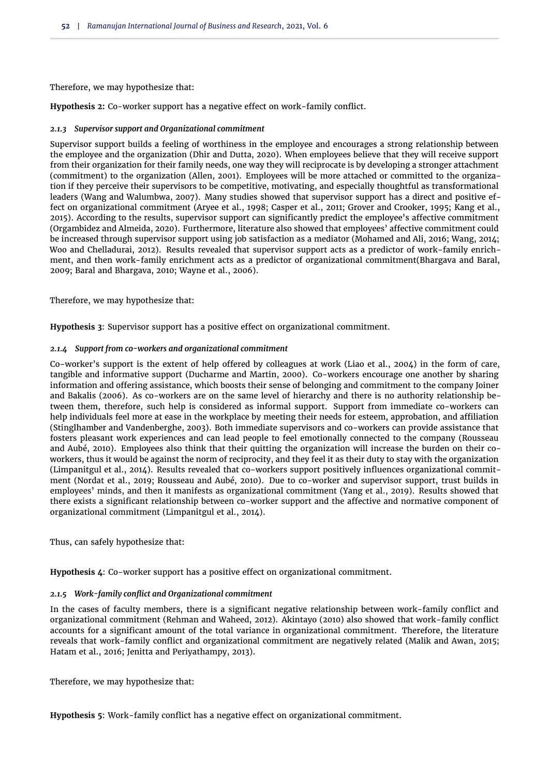Therefore, we may hypothesize that:

**Hypothesis 2:** Co-worker support has a negative effect on work-family conflict.

## *2.1.3 Supervisor support and Organizational commitment*

Supervisor support builds a feeling of worthiness in the employee and encourages a strong relationship between the employee and the organization [\(Dhir and Dutta,](#page-9-12) [2020\)](#page-9-12). When employees believe that they will receive support from their organization for their family needs, one way they will reciprocate is by developing a stronger attachment (commitment) to the organization [\(Allen,](#page-9-6) [2001\)](#page-9-6). Employees will be more attached or committed to the organization if they perceive their supervisors to be competitive, motivating, and especially thoughtful as transformational leaders [\(Wang and Walumbwa,](#page-12-10) [2007\)](#page-12-10). Many studies showed that supervisor support has a direct and positive effect on organizational commitment [\(Aryee et al.,](#page-9-13) [1998;](#page-9-13) [Casper et al.,](#page-9-14) [2011;](#page-9-14) [Grover and Crooker,](#page-10-10) [1995;](#page-10-10) [Kang et al.,](#page-10-11) [2015\)](#page-10-11). According to the results, supervisor support can significantly predict the employee's affective commitment [\(Orgambidez and Almeida,](#page-11-11) [2020\)](#page-11-11). Furthermore, literature also showed that employees' affective commitment could be increased through supervisor support using job satisfaction as a mediator [\(Mohamed and Ali,](#page-11-12) [2016;](#page-11-12) [Wang,](#page-12-11) [2014;](#page-12-11) [Woo and Chelladurai,](#page-12-12) [2012\)](#page-12-12). Results revealed that supervisor support acts as a predictor of work-family enrichment, and then work-family enrichment acts as a predictor of organizational commitment[\(Bhargava and Baral,](#page-9-0) [2009;](#page-9-0) [Baral and Bhargava,](#page-9-15) [2010;](#page-9-15) [Wayne et al.,](#page-12-13) [2006\)](#page-12-13).

Therefore, we may hypothesize that:

**Hypothesis 3**: Supervisor support has a positive effect on organizational commitment.

## *2.1.4 Support from co-workers and organizational commitment*

Co-worker's support is the extent of help offered by colleagues at work [\(Liao et al.,](#page-11-13) [2004\)](#page-11-13) in the form of care, tangible and informative support [\(Ducharme and Martin,](#page-9-11) [2000\)](#page-9-11). Co-workers encourage one another by sharing information and offering assistance, which boosts their sense of belonging and commitment to the company [Joiner](#page-10-12) [and Bakalis](#page-10-12) [\(2006\)](#page-10-12). As co-workers are on the same level of hierarchy and there is no authority relationship between them, therefore, such help is considered as informal support. Support from immediate co-workers can help individuals feel more at ease in the workplace by meeting their needs for esteem, approbation, and affiliation [\(Stinglhamber and Vandenberghe,](#page-12-14) [2003\)](#page-12-14). Both immediate supervisors and co-workers can provide assistance that fosters pleasant work experiences and can lead people to feel emotionally connected to the company [\(Rousseau](#page-11-6) [and Aubé,](#page-11-6) [2010\)](#page-11-6). Employees also think that their quitting the organization will increase the burden on their coworkers, thus it would be against the norm of reciprocity, and they feel it as their duty to stay with the organization [\(Limpanitgul et al.,](#page-11-3) [2014\)](#page-11-3). Results revealed that co-workers support positively influences organizational commitment [\(Nordat et al.,](#page-11-14) [2019;](#page-11-14) [Rousseau and Aubé,](#page-11-6) [2010\)](#page-11-6). Due to co-worker and supervisor support, trust builds in employees' minds, and then it manifests as organizational commitment [\(Yang et al.,](#page-12-2) [2019\)](#page-12-2). Results showed that there exists a significant relationship between co-worker support and the affective and normative component of organizational commitment [\(Limpanitgul et al.,](#page-11-3) [2014\)](#page-11-3).

Thus, can safely hypothesize that:

**Hypothesis 4**: Co-worker support has a positive effect on organizational commitment.

# *2.1.5 Work-family conflict and Organizational commitment*

In the cases of faculty members, there is a significant negative relationship between work-family conflict and organizational commitment [\(Rehman and Waheed,](#page-11-15) [2012\)](#page-11-15). [Akintayo](#page-9-16) [\(2010\)](#page-9-16) also showed that work-family conflict accounts for a significant amount of the total variance in organizational commitment. Therefore, the literature reveals that work-family conflict and organizational commitment are negatively related [\(Malik and Awan,](#page-11-16) [2015;](#page-11-16) [Hatam et al.,](#page-10-13) [2016;](#page-10-13) [Jenitta and Periyathampy,](#page-10-14) [2013\)](#page-10-14).

Therefore, we may hypothesize that:

**Hypothesis 5**: Work-family conflict has a negative effect on organizational commitment.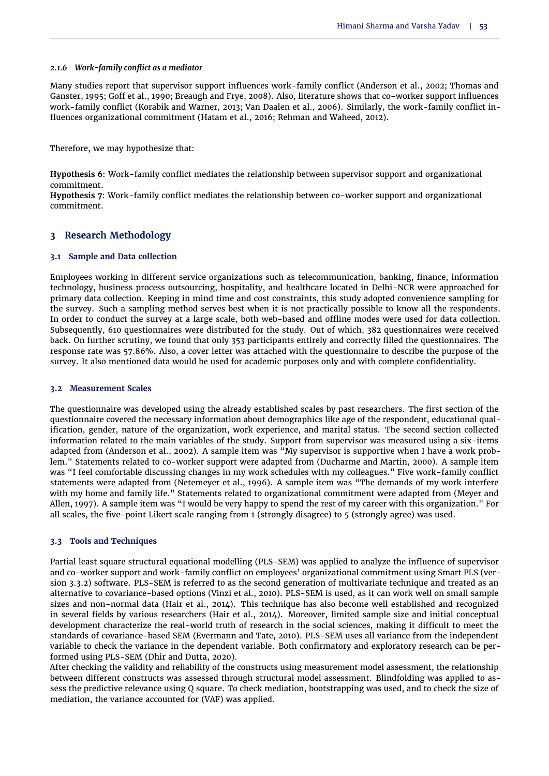#### *2.1.6 Work-family conflict as a mediator*

Many studies report that supervisor support influences work-family conflict [\(Anderson et al.,](#page-9-5) [2002;](#page-9-5) [Thomas and](#page-12-5) [Ganster,](#page-12-5) [1995;](#page-12-5) [Goff et al.,](#page-10-7) [1990;](#page-10-7) [Breaugh and Frye,](#page-9-8) [2008\)](#page-9-8). Also, literature shows that co-worker support influences work-family conflict [\(Korabik and Warner,](#page-10-8) [2013;](#page-10-8) [Van Daalen et al.,](#page-12-8) [2006\)](#page-12-8). Similarly, the work-family conflict influences organizational commitment [\(Hatam et al.,](#page-10-13) [2016;](#page-10-13) [Rehman and Waheed,](#page-11-15) [2012\)](#page-11-15).

Therefore, we may hypothesize that:

**Hypothesis 6**: Work-family conflict mediates the relationship between supervisor support and organizational commitment.

**Hypothesis 7**: Work-family conflict mediates the relationship between co-worker support and organizational commitment.

## **3 Research Methodology**

## **3.1 Sample and Data collection**

Employees working in different service organizations such as telecommunication, banking, finance, information technology, business process outsourcing, hospitality, and healthcare located in Delhi-NCR were approached for primary data collection. Keeping in mind time and cost constraints, this study adopted convenience sampling for the survey. Such a sampling method serves best when it is not practically possible to know all the respondents. In order to conduct the survey at a large scale, both web-based and offline modes were used for data collection. Subsequently, 610 questionnaires were distributed for the study. Out of which, 382 questionnaires were received back. On further scrutiny, we found that only 353 participants entirely and correctly filled the questionnaires. The response rate was 57.86%. Also, a cover letter was attached with the questionnaire to describe the purpose of the survey. It also mentioned data would be used for academic purposes only and with complete confidentiality.

## **3.2 Measurement Scales**

The questionnaire was developed using the already established scales by past researchers. The first section of the questionnaire covered the necessary information about demographics like age of the respondent, educational qualification, gender, nature of the organization, work experience, and marital status. The second section collected information related to the main variables of the study. Support from supervisor was measured using a six-items adapted from [\(Anderson et al.,](#page-9-5) [2002\)](#page-9-5). A sample item was "My supervisor is supportive when I have a work problem." Statements related to co-worker support were adapted from [\(Ducharme and Martin,](#page-9-11) [2000\)](#page-9-11). A sample item was "I feel comfortable discussing changes in my work schedules with my colleagues." Five work-family conflict statements were adapted from [\(Netemeyer et al.,](#page-11-17) [1996\)](#page-11-17). A sample item was "The demands of my work interfere with my home and family life." Statements related to organizational commitment were adapted from [\(Meyer and](#page-11-18) [Allen,](#page-11-18) [1997\)](#page-11-18). A sample item was "I would be very happy to spend the rest of my career with this organization." For all scales, the five-point Likert scale ranging from 1 (strongly disagree) to 5 (strongly agree) was used.

#### **3.3 Tools and Techniques**

Partial least square structural equational modelling (PLS-SEM) was applied to analyze the influence of supervisor and co-worker support and work-family conflict on employees' organizational commitment using Smart PLS (version 3.3.2) software. PLS-SEM is referred to as the second generation of multivariate technique and treated as an alternative to covariance-based options [\(Vinzi et al.,](#page-12-15) [2010\)](#page-12-15). PLS-SEM is used, as it can work well on small sample sizes and non-normal data [\(Hair et al.,](#page-10-15) [2014\)](#page-10-15). This technique has also become well established and recognized in several fields by various researchers [\(Hair et al.,](#page-10-15) [2014\)](#page-10-15). Moreover, limited sample size and initial conceptual development characterize the real-world truth of research in the social sciences, making it difficult to meet the standards of covariance-based SEM [\(Evermann and Tate,](#page-9-17) [2010\)](#page-9-17). PLS-SEM uses all variance from the independent variable to check the variance in the dependent variable. Both confirmatory and exploratory research can be performed using PLS-SEM [\(Dhir and Dutta,](#page-9-12) [2020\)](#page-9-12).

After checking the validity and reliability of the constructs using measurement model assessment, the relationship between different constructs was assessed through structural model assessment. Blindfolding was applied to assess the predictive relevance using Q square. To check mediation, bootstrapping was used, and to check the size of mediation, the variance accounted for (VAF) was applied.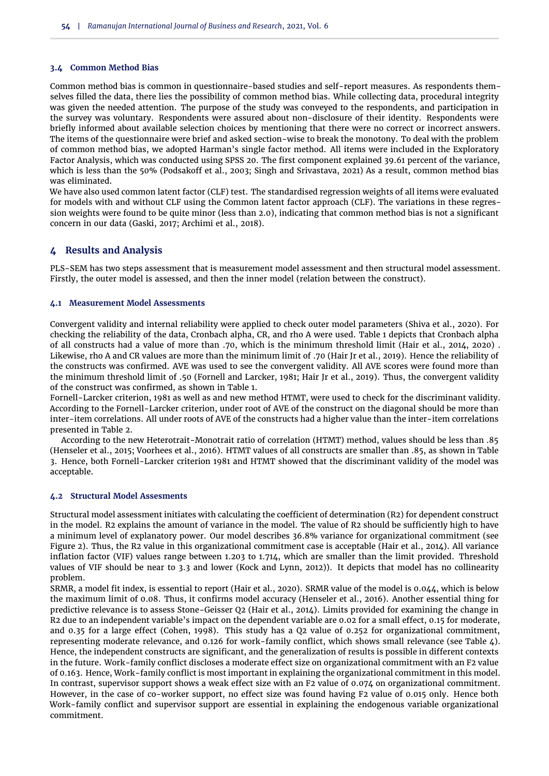## **3.4 Common Method Bias**

Common method bias is common in questionnaire-based studies and self-report measures. As respondents themselves filled the data, there lies the possibility of common method bias. While collecting data, procedural integrity was given the needed attention. The purpose of the study was conveyed to the respondents, and participation in the survey was voluntary. Respondents were assured about non-disclosure of their identity. Respondents were briefly informed about available selection choices by mentioning that there were no correct or incorrect answers. The items of the questionnaire were brief and asked section-wise to break the monotony. To deal with the problem of common method bias, we adopted Harman's single factor method. All items were included in the Exploratory Factor Analysis, which was conducted using SPSS 20. The first component explained 39.61 percent of the variance, which is less than the 50% [\(Podsakoff et al.,](#page-11-19) [2003;](#page-11-19) [Singh and Srivastava,](#page-12-16) [2021\)](#page-12-16) As a result, common method bias was eliminated.

We have also used common latent factor (CLF) test. The standardised regression weights of all items were evaluated for models with and without CLF using the Common latent factor approach (CLF). The variations in these regression weights were found to be quite minor (less than 2.0), indicating that common method bias is not a significant concern in our data [\(Gaski,](#page-10-16) [2017;](#page-10-16) [Archimi et al.,](#page-9-18) [2018\)](#page-9-18).

# **4 Results and Analysis**

PLS-SEM has two steps assessment that is measurement model assessment and then structural model assessment. Firstly, the outer model is assessed, and then the inner model (relation between the construct).

#### **4.1 Measurement Model Assessments**

Convergent validity and internal reliability were applied to check outer model parameters [\(Shiva et al.,](#page-11-20) [2020\)](#page-11-20). For checking the reliability of the data, Cronbach alpha, CR, and rho A were used. [Table 1](#page-6-0) depicts that Cronbach alpha of all constructs had a value of more than .70, which is the minimum threshold limit [\(Hair et al.,](#page-10-15) [2014,](#page-10-15) [2020\)](#page-10-17) . Likewise, rho A and CR values are more than the minimum limit of .70 [\(Hair Jr et al.,](#page-10-18) [2019\)](#page-10-18). Hence the reliability of the constructs was confirmed. AVE was used to see the convergent validity. All AVE scores were found more than the minimum threshold limit of .50 [\(Fornell and Larcker,](#page-9-19) [1981;](#page-9-19) [Hair Jr et al.,](#page-10-18) [2019\)](#page-10-18). Thus, the convergent validity of the construct was confirmed, as shown in [Table 1.](#page-6-0)

Fornell-Larcker criterion, 1981 as well as and new method HTMT, were used to check for the discriminant validity. According to the Fornell-Larcker criterion, under root of AVE of the construct on the diagonal should be more than inter-item correlations. All under roots of AVE of the constructs had a higher value than the inter-item correlations presented in [Table 2.](#page-6-1)

According to the new Heterotrait-Monotrait ratio of correlation (HTMT) method, values should be less than .85 [\(Henseler et al.,](#page-10-19) [2015;](#page-10-19) [Voorhees et al.,](#page-12-17) [2016\)](#page-12-17). HTMT values of all constructs are smaller than .85, as shown in [Table](#page-7-0) [3.](#page-7-0) Hence, both Fornell-Larcker criterion 1981 and HTMT showed that the discriminant validity of the model was acceptable.

#### **4.2 Structural Model Assesments**

Structural model assessment initiates with calculating the coefficient of determination (R2) for dependent construct in the model. R2 explains the amount of variance in the model. The value of R2 should be sufficiently high to have a minimum level of explanatory power. Our model describes 36.8% variance for organizational commitment (see [Figure 2\)](#page-7-1). Thus, the R2 value in this organizational commitment case is acceptable [\(Hair et al.,](#page-10-15) [2014\)](#page-10-15). All variance inflation factor (VIF) values range between 1.203 to 1.714, which are smaller than the limit provided. Threshold values of VIF should be near to 3.3 and lower [\(Kock and Lynn,](#page-10-20) [2012\)](#page-10-20)). It depicts that model has no collinearity problem.

SRMR, a model fit index, is essential to report [\(Hair et al.,](#page-10-17) [2020\)](#page-10-17). SRMR value of the model is 0.044, which is below the maximum limit of 0.08. Thus, it confirms model accuracy [\(Henseler et al.,](#page-10-21) [2016\)](#page-10-21). Another essential thing for predictive relevance is to assess Stone-Geisser Q2 [\(Hair et al.,](#page-10-15) [2014\)](#page-10-15). Limits provided for examining the change in R2 due to an independent variable's impact on the dependent variable are 0.02 for a small effect, 0.15 for moderate, and 0.35 for a large effect [\(Cohen,](#page-9-20) [1998\)](#page-9-20). This study has a Q2 value of 0.252 for organizational commitment, representing moderate relevance, and 0.126 for work-family conflict, which shows small relevance (see Table  $\Delta$ ). Hence, the independent constructs are significant, and the generalization of results is possible in different contexts in the future. Work-family conflict discloses a moderate effect size on organizational commitment with an F2 value of 0.163. Hence, Work-family conflict is most important in explaining the organizational commitment in this model. In contrast, supervisor support shows a weak effect size with an F2 value of 0.074 on organizational commitment. However, in the case of co-worker support, no effect size was found having F2 value of 0.015 only. Hence both Work-family conflict and supervisor support are essential in explaining the endogenous variable organizational commitment.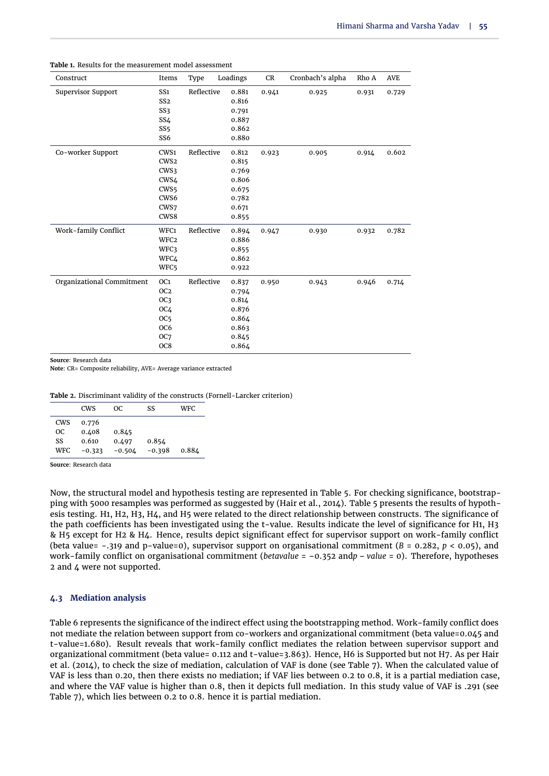| Construct                 | Items            | Type       | Loadings | CR    | Cronbach's alpha | Rho A | <b>AVE</b> |
|---------------------------|------------------|------------|----------|-------|------------------|-------|------------|
| <b>Supervisor Support</b> | SS <sub>1</sub>  | Reflective | 0.881    | 0.941 | 0.925            | 0.931 | 0.729      |
|                           | SS <sub>2</sub>  |            | 0.816    |       |                  |       |            |
|                           | SS3              |            | 0.791    |       |                  |       |            |
|                           | SS4              |            | 0.887    |       |                  |       |            |
|                           | SS <sub>5</sub>  |            | 0.862    |       |                  |       |            |
|                           | SS <sub>6</sub>  |            | 0.880    |       |                  |       |            |
| Co-worker Support         | CWS1             | Reflective | 0.812    | 0.923 | 0.905            | 0.914 | 0.602      |
|                           | CWS <sub>2</sub> |            | 0.815    |       |                  |       |            |
|                           | CWS3             |            | 0.769    |       |                  |       |            |
|                           | CWS4             |            | 0.806    |       |                  |       |            |
|                           | CWS <sub>5</sub> |            | 0.675    |       |                  |       |            |
|                           | CWS6             |            | 0.782    |       |                  |       |            |
|                           | CWS7             |            | 0.671    |       |                  |       |            |
|                           | CWS8             |            | 0.855    |       |                  |       |            |
| Work-family Conflict      | WFC1             | Reflective | 0.894    | 0.947 | 0.930            | 0.932 | 0.782      |
|                           | WFC <sub>2</sub> |            | 0.886    |       |                  |       |            |
|                           | WFC3             |            | 0.855    |       |                  |       |            |
|                           | WFC4             |            | 0.862    |       |                  |       |            |
|                           | WFC5             |            | 0.922    |       |                  |       |            |
| Organizational Commitment | OC <sub>1</sub>  | Reflective | 0.837    | 0.950 | 0.943            | 0.946 | 0.714      |
|                           | OC <sub>2</sub>  |            | 0.794    |       |                  |       |            |
|                           | OC3              |            | 0.814    |       |                  |       |            |
|                           | OC4              |            | 0.876    |       |                  |       |            |
|                           | OC <sub>5</sub>  |            | 0.864    |       |                  |       |            |
|                           | OC <sub>6</sub>  |            | 0.863    |       |                  |       |            |
|                           | OC <sub>7</sub>  |            | 0.845    |       |                  |       |            |
|                           | OC8              |            | 0.864    |       |                  |       |            |

<span id="page-6-0"></span>**Table 1.** Results for the measurement model assessment

**Source**: Research data

**Note**: CR= Composite reliability, AVE= Average variance extracted

<span id="page-6-1"></span>

|      | <b>CWS</b> | OC.      | SS       | WFC.  |
|------|------------|----------|----------|-------|
| CWS  | 0.776      |          |          |       |
| OC.  | 0.408      | 0.845    |          |       |
| SS   | 0.610      | 0.497    | 0.854    |       |
| WFC. | $-0.323$   | $-0.504$ | $-0.398$ | 0.884 |

**Source**: Research data

Now, the structural model and hypothesis testing are represented in [Table 5.](#page-8-1) For checking significance, bootstrapping with 5000 resamples was performed as suggested by [\(Hair et al.,](#page-10-15) [2014\)](#page-10-15). [Table 5](#page-8-1) presents the results of hypothesis testing. H1, H2, H3, H4, and H5 were related to the direct relationship between constructs. The significance of the path coefficients has been investigated using the t-value. Results indicate the level of significance for H1, H3 & H5 except for H2 & H4. Hence, results depict significant effect for supervisor support on work-family conflict (beta value= -.319 and p-value=0), supervisor support on organisational commitment (*B* = 0.282, *p* < 0.05), and work-family conflict on organisational commitment (*betavalue* = –0.352 and*p* – *value* = 0). Therefore, hypotheses 2 and 4 were not supported.

## **4.3 Mediation analysis**

[Table 6](#page-9-21) represents the significance of the indirect effect using the bootstrapping method. Work-family conflict does not mediate the relation between support from co-workers and organizational commitment (beta value=0.045 and t-value=1.680). Result reveals that work-family conflict mediates the relation between supervisor support and organizational commitment (beta value= 0.112 and t-value=3.863). Hence, H6 is Supported but not H7. As per [Hair](#page-10-15) [et al.](#page-10-15) [\(2014\)](#page-10-15), to check the size of mediation, calculation of VAF is done (see [Table 7\)](#page-9-22). When the calculated value of VAF is less than 0.20, then there exists no mediation; if VAF lies between 0.2 to 0.8, it is a partial mediation case, and where the VAF value is higher than 0.8, then it depicts full mediation. In this study value of VAF is .291 (see [Table 7\)](#page-9-22), which lies between 0.2 to 0.8. hence it is partial mediation.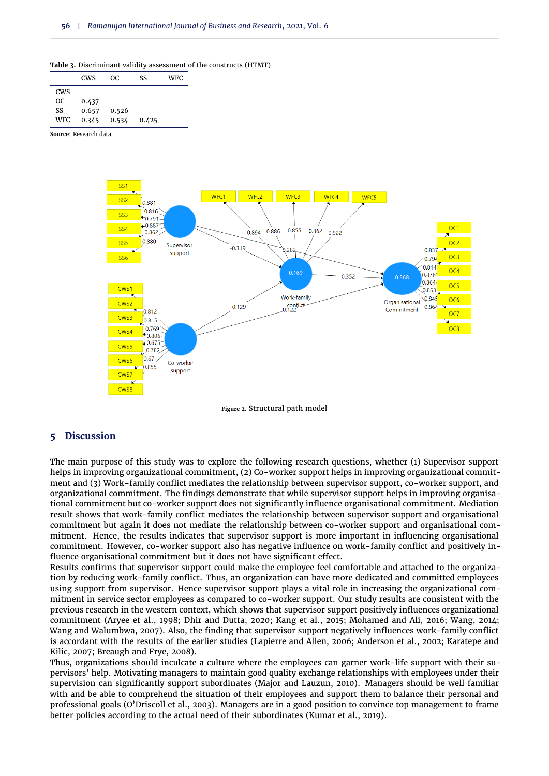<span id="page-7-0"></span>

|  | Table 3. Discriminant validity assessment of the constructs (HTMT) |  |
|--|--------------------------------------------------------------------|--|
|--|--------------------------------------------------------------------|--|

|            | <b>CWS</b> | OC.   | SS    | <b>WFC</b> |
|------------|------------|-------|-------|------------|
| <b>CWS</b> |            |       |       |            |
| OC.        | 0.437      |       |       |            |
| SS         | 0.657      | 0.526 |       |            |
| WFC.       | 0.345      | 0.534 | 0.425 |            |

<span id="page-7-1"></span>**Source**: Research data



**Figure 2.** Structural path model

#### **5 Discussion**

The main purpose of this study was to explore the following research questions, whether (1) Supervisor support helps in improving organizational commitment, (2) Co-worker support helps in improving organizational commitment and (3) Work-family conflict mediates the relationship between supervisor support, co-worker support, and organizational commitment. The findings demonstrate that while supervisor support helps in improving organisational commitment but co-worker support does not significantly influence organisational commitment. Mediation result shows that work-family conflict mediates the relationship between supervisor support and organisational commitment but again it does not mediate the relationship between co-worker support and organisational commitment. Hence, the results indicates that supervisor support is more important in influencing organisational commitment. However, co-worker support also has negative influence on work-family conflict and positively influence organisational commitment but it does not have significant effect.

Results confirms that supervisor support could make the employee feel comfortable and attached to the organization by reducing work-family conflict. Thus, an organization can have more dedicated and committed employees using support from supervisor. Hence supervisor support plays a vital role in increasing the organizational commitment in service sector employees as compared to co-worker support. Our study results are consistent with the previous research in the western context, which shows that supervisor support positively influences organizational commitment [\(Aryee et al.,](#page-9-13) [1998;](#page-9-13) [Dhir and Dutta,](#page-9-12) [2020;](#page-9-12) [Kang et al.,](#page-10-11) [2015;](#page-10-11) [Mohamed and Ali,](#page-11-12) [2016;](#page-11-12) [Wang,](#page-12-11) [2014;](#page-12-11) [Wang and Walumbwa,](#page-12-10) [2007\)](#page-12-10). Also, the finding that supervisor support negatively influences work-family conflict is accordant with the results of the earlier studies [\(Lapierre and Allen,](#page-10-22) [2006;](#page-10-22) [Anderson et al.,](#page-9-5) [2002;](#page-9-5) [Karatepe and](#page-10-5) [Kilic,](#page-10-5) [2007;](#page-10-5) [Breaugh and Frye,](#page-9-8) [2008\)](#page-9-8).

Thus, organizations should inculcate a culture where the employees can garner work-life support with their supervisors' help. Motivating managers to maintain good quality exchange relationships with employees under their supervision can significantly support subordinates [\(Major and Lauzun,](#page-11-21) [2010\)](#page-11-21). Managers should be well familiar with and be able to comprehend the situation of their employees and support them to balance their personal and professional goals [\(O'Driscoll et al.,](#page-11-22) [2003\)](#page-11-22). Managers are in a good position to convince top management to frame better policies according to the actual need of their subordinates [\(Kumar et al.,](#page-10-3) [2019\)](#page-10-3).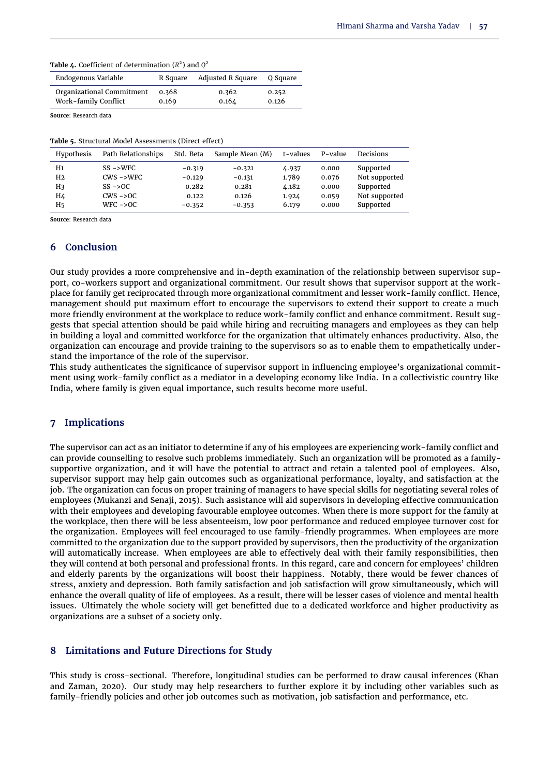<span id="page-8-0"></span>

| <b>Table 4.</b> Coefficient of determination $(R^2)$ and $Q^2$ |  |  |  |
|----------------------------------------------------------------|--|--|--|
|----------------------------------------------------------------|--|--|--|

| Endogenous Variable       | R Square | <b>Adjusted R Square</b> | O Square |
|---------------------------|----------|--------------------------|----------|
| Organizational Commitment | 0.368    | 0.362                    | 0.252    |
| Work-family Conflict      | 0.169    | 0.164                    | 0.126    |

**Source**: Research data

<span id="page-8-1"></span>**Table 5.** Structural Model Assessments (Direct effect)

| Hypothesis | Path Relationships   | Std. Beta | Sample Mean (M) | t-values | P-value | Decisions     |
|------------|----------------------|-----------|-----------------|----------|---------|---------------|
| H1         | $SS \rightarrow WFC$ | $-0.319$  | $-0.321$        | 4.937    | 0.000   | Supported     |
| H2         | $CWS$ ->WFC          | $-0.129$  | $-0.131$        | 1.789    | 0.076   | Not supported |
| H3         | $SS - >OC$           | 0.282     | 0.281           | 4.182    | 0.000   | Supported     |
| H4         | $CWS - >0$           | 0.122     | 0.126           | 1.924    | 0.059   | Not supported |
| H5         | $WFC - >OC$          | $-0.352$  | $-0.353$        | 6.179    | 0.000   | Supported     |

**Source**: Research data

## **6 Conclusion**

Our study provides a more comprehensive and in-depth examination of the relationship between supervisor support, co-workers support and organizational commitment. Our result shows that supervisor support at the workplace for family get reciprocated through more organizational commitment and lesser work-family conflict. Hence, management should put maximum effort to encourage the supervisors to extend their support to create a much more friendly environment at the workplace to reduce work-family conflict and enhance commitment. Result suggests that special attention should be paid while hiring and recruiting managers and employees as they can help in building a loyal and committed workforce for the organization that ultimately enhances productivity. Also, the organization can encourage and provide training to the supervisors so as to enable them to empathetically understand the importance of the role of the supervisor.

This study authenticates the significance of supervisor support in influencing employee's organizational commitment using work-family conflict as a mediator in a developing economy like India. In a collectivistic country like India, where family is given equal importance, such results become more useful.

## **7 Implications**

The supervisor can act as an initiator to determine if any of his employees are experiencing work-family conflict and can provide counselling to resolve such problems immediately. Such an organization will be promoted as a familysupportive organization, and it will have the potential to attract and retain a talented pool of employees. Also, supervisor support may help gain outcomes such as organizational performance, loyalty, and satisfaction at the job. The organization can focus on proper training of managers to have special skills for negotiating several roles of employees [\(Mukanzi and Senaji,](#page-11-23) [2015\)](#page-11-23). Such assistance will aid supervisors in developing effective communication with their employees and developing favourable employee outcomes. When there is more support for the family at the workplace, then there will be less absenteeism, low poor performance and reduced employee turnover cost for the organization. Employees will feel encouraged to use family-friendly programmes. When employees are more committed to the organization due to the support provided by supervisors, then the productivity of the organization will automatically increase. When employees are able to effectively deal with their family responsibilities, then they will contend at both personal and professional fronts. In this regard, care and concern for employees' children and elderly parents by the organizations will boost their happiness. Notably, there would be fewer chances of stress, anxiety and depression. Both family satisfaction and job satisfaction will grow simultaneously, which will enhance the overall quality of life of employees. As a result, there will be lesser cases of violence and mental health issues. Ultimately the whole society will get benefitted due to a dedicated workforce and higher productivity as organizations are a subset of a society only.

# **8 Limitations and Future Directions for Study**

This study is cross-sectional. Therefore, longitudinal studies can be performed to draw causal inferences [\(Khan](#page-10-23) [and Zaman,](#page-10-23) [2020\)](#page-10-23). Our study may help researchers to further explore it by including other variables such as family-friendly policies and other job outcomes such as motivation, job satisfaction and performance, etc.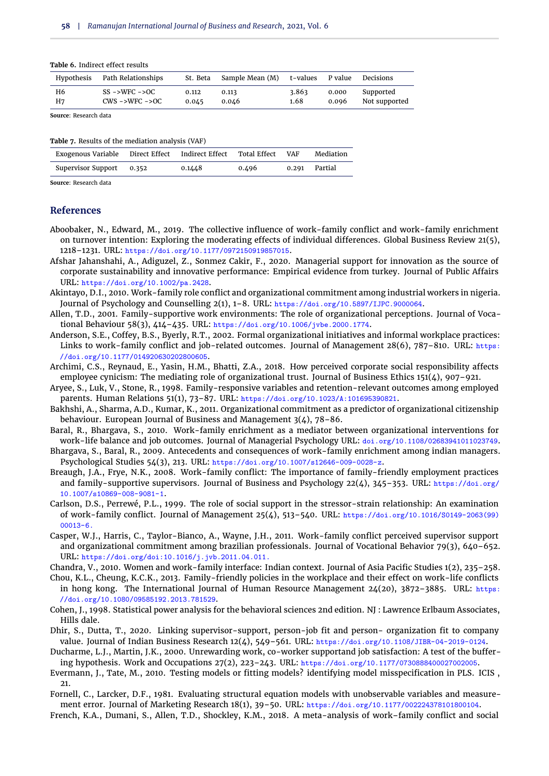#### <span id="page-9-21"></span>**Table 6.** Indirect effect results

| Hypothesis | Path Relationships | St. Beta | Sample Mean (M) t-values |       | P value | Decisions     |
|------------|--------------------|----------|--------------------------|-------|---------|---------------|
| H6         | $SS - >WFC - >OC$  | 0.112    | 0.113                    | 3.863 | 0.000   | Supported     |
| H7         | $CWS - >WFC - >OC$ | 0.045    | 0.046                    | 1.68  | 0.096   | Not supported |

**Source**: Research data

<span id="page-9-22"></span>**Table 7.** Results of the mediation analysis (VAF)

| Exogenous Variable Direct Effect | Indirect Effect | Total Effect | VAF | Mediation     |
|----------------------------------|-----------------|--------------|-----|---------------|
| Supervisor Support 0.352         | 0.1448          | 0.496        |     | 0.291 Partial |

**Source**: Research data

#### **References**

- <span id="page-9-2"></span>Aboobaker, N., Edward, M., 2019. The collective influence of work-family conflict and work-family enrichment on turnover intention: Exploring the moderating effects of individual differences. Global Business Review 21(5), 1218–1231. URL: https://doi.org/10.1177/0972150919857015.
- <span id="page-9-3"></span>Afshar Jahanshahi, A., Adiguzel, Z., Sonmez Cakir, F., 2020. Managerial support for innovation as the source of corporate sustainability and innovative performance: Empirical evidence from turkey. Journal of Public Affairs URL: https://doi.org/10.1002/pa.2428.
- <span id="page-9-16"></span>Akintayo, D.I., 2010. Work-family role conflict and organizational commitment among industrial workers in nigeria. Journal of Psychology and Counselling 2(1), 1-8. URL: https://doi.org/10.5897/IJPC.9000064.
- <span id="page-9-6"></span>Allen, T.D., 2001. Family-supportive work environments: The role of organizational perceptions. Journal of Vocational Behaviour 58(3), 414–435. URL: https://doi.org/10.1006/jvbe.2000.1774.
- <span id="page-9-5"></span>Anderson, S.E., Coffey, B.S., Byerly, R.T., 2002. Formal organizational initiatives and informal workplace practices: Links to work-family conflict and job-related outcomes. Journal of Management 28(6), 787–810. URL: https: //doi.org/10.1177/014920630202800605.
- <span id="page-9-18"></span>Archimi, C.S., Reynaud, E., Yasin, H.M., Bhatti, Z.A., 2018. How perceived corporate social responsibility affects employee cynicism: The mediating role of organizational trust. Journal of Business Ethics 151(4), 907-921.
- <span id="page-9-13"></span>Aryee, S., Luk, V., Stone, R., 1998. Family-responsive variables and retention-relevant outcomes among employed parents. Human Relations 51(1), 73–87. URL: https://doi.org/10.1023/A:101695390821.
- <span id="page-9-4"></span>Bakhshi, A., Sharma, A.D., Kumar, K., 2011. Organizational commitment as a predictor of organizational citizenship behaviour. European Journal of Business and Management  $3(4)$ ,  $78-86$ .
- <span id="page-9-15"></span>Baral, R., Bhargava, S., 2010. Work-family enrichment as a mediator between organizational interventions for work-life balance and job outcomes. Journal of Managerial Psychology URL: doi.org/10.1108/02683941011023749.
- <span id="page-9-0"></span>Bhargava, S., Baral, R., 2009. Antecedents and consequences of work-family enrichment among indian managers. Psychological Studies 54(3), 213. URL: https://doi.org/10.1007/s12646-009-0028-z.
- <span id="page-9-8"></span>Breaugh, J.A., Frye, N.K., 2008. Work-family conflict: The importance of family-friendly employment practices and family-supportive supervisors. Journal of Business and Psychology 22(4), 345–353. URL: https://doi.org/ 10.1007/s10869-008-9081-1.
- <span id="page-9-7"></span>Carlson, D.S., Perrewé, P.L., 1999. The role of social support in the stressor-strain relationship: An examination of work-family conflict. Journal of Management 25(4), 513–540. URL: https://doi.org/10.1016/S0149-2063(99)  $00013-6.$
- <span id="page-9-14"></span>Casper, W.J., Harris, C., Taylor-Bianco, A., Wayne, J.H., 2011. Work-family conflict perceived supervisor support and organizational commitment among brazilian professionals. Journal of Vocational Behavior 79(3), 640–652. URL: https://doi.org/doi:10.1016/j.jvb.2011.04.011.
- <span id="page-9-1"></span>Chandra, V., 2010. Women and work-family interface: Indian context. Journal of Asia Pacific Studies 1(2), 235–258.
- <span id="page-9-9"></span>Chou, K.L., Cheung, K.C.K., 2013. Family-friendly policies in the workplace and their effect on work-life conflicts in hong kong. The International Journal of Human Resource Management 24(20), 3872-3885. URL: https: //doi.org/10.1080/09585192.2013.781529.
- <span id="page-9-20"></span>Cohen, J., 1998. Statistical power analysis for the behavioral sciences 2nd edition. NJ : Lawrence Erlbaum Associates, Hills dale.
- <span id="page-9-12"></span>Dhir, S., Dutta, T., 2020. Linking supervisor-support, person-job fit and person- organization fit to company value. Journal of Indian Business Research 12(4), 549–561. URL: https://doi.org/10.1108/JIBR-04-2019-0124.
- <span id="page-9-11"></span>Ducharme, L.J., Martin, J.K., 2000. Unrewarding work, co-worker supportand job satisfaction: A test of the buffering hypothesis. Work and Occupations 27(2), 223–243. URL: https://doi.org/10.1177/0730888400027002005.
- <span id="page-9-17"></span>Evermann, J., Tate, M., 2010. Testing models or fitting models? identifying model misspecification in PLS. ICIS ,  $21$
- <span id="page-9-19"></span>Fornell, C., Larcker, D.F., 1981. Evaluating structural equation models with unobservable variables and measurement error. Journal of Marketing Research 18(1), 39–50. URL: https://doi.org/10.1177/002224378101800104.
- <span id="page-9-10"></span>French, K.A., Dumani, S., Allen, T.D., Shockley, K.M., 2018. A meta-analysis of work–family conflict and social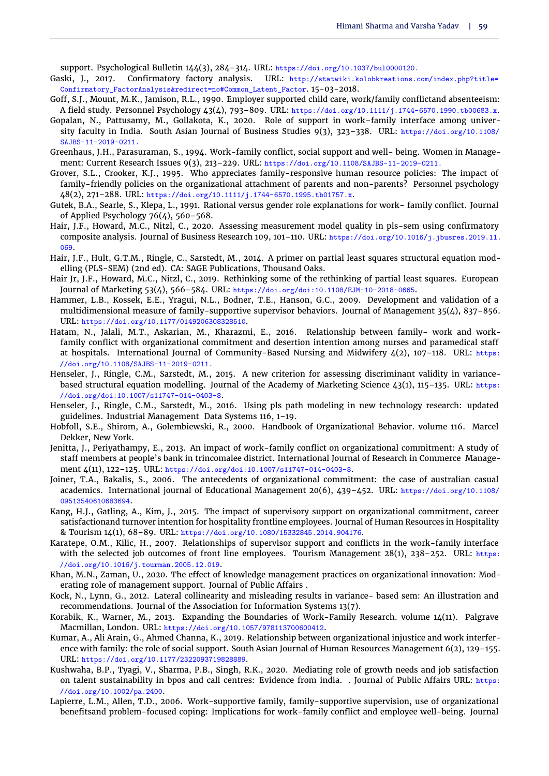support. Psychological Bulletin 144(3), 284–314. URL: https://doi.org/10.1037/bul0000120.

- <span id="page-10-16"></span>Gaski, J., 2017. Confirmatory factory analysis. URL: http://statwiki.kolobkreations.com/index.php?title= Confirmatory\_FactorAnalysis&redirect=no#Common\_Latent\_Factor. 15-03-2018.
- <span id="page-10-7"></span>Goff, S.J., Mount, M.K., Jamison, R.L., 1990. Employer supported child care, work/family conflictand absenteeism: A field study. Personnel Psychology 43(4), 793–809. URL: https://doi.org/10.1111/j.1744-6570.1990.tb00683.x.
- <span id="page-10-9"></span>Gopalan, N., Pattusamy, M., Gollakota, K., 2020. Role of support in work–family interface among university faculty in India. South Asian Journal of Business Studies 9(3), 323–338. URL: https://doi.org/10.1108/ SAJBS-11-2019-0211.
- <span id="page-10-6"></span>Greenhaus, J.H., Parasuraman, S., 1994. Work-family conflict, social support and well- being. Women in Management: Current Research Issues 9(3), 213–229. URL: https://doi.org/10.1108/SAJBS-11-2019-0211.
- <span id="page-10-10"></span>Grover, S.L., Crooker, K.J., 1995. Who appreciates family-responsive human resource policies: The impact of family-friendly policies on the organizational attachment of parents and non-parents? Personnel psychology 48(2), 271–288. URL: https://doi.org/10.1111/j.1744-6570.1995.tb01757.x.
- <span id="page-10-4"></span>Gutek, B.A., Searle, S., Klepa, L., 1991. Rational versus gender role explanations for work- family conflict. Journal of Applied Psychology 76(4), 560–568.
- <span id="page-10-17"></span>Hair, J.F., Howard, M.C., Nitzl, C., 2020. Assessing measurement model quality in pls-sem using confirmatory composite analysis. Journal of Business Research 109, 101–110. URL: https://doi.org/10.1016/j.jbusres.2019.11. 069.
- <span id="page-10-15"></span>Hair, J.F., Hult, G.T.M., Ringle, C., Sarstedt, M., 2014. A primer on partial least squares structural equation modelling (PLS-SEM) (2nd ed). CA: SAGE Publications, Thousand Oaks.
- <span id="page-10-18"></span>Hair Jr, J.F., Howard, M.C., Nitzl, C., 2019. Rethinking some of the rethinking of partial least squares. European Journal of Marketing 53(4), 566–584. URL: https://doi.org/doi:10.1108/EJM-10-2018-0665.
- <span id="page-10-1"></span>Hammer, L.B., Kossek, E.E., Yragui, N.L., Bodner, T.E., Hanson, G.C., 2009. Development and validation of a multidimensional measure of family-supportive supervisor behaviors. Journal of Management 35(4), 837–856. URL: https://doi.org/10.1177/0149206308328510.
- <span id="page-10-13"></span>Hatam, N., Jalali, M.T., Askarian, M., Kharazmi, E., 2016. Relationship between family- work and workfamily conflict with organizational commitment and desertion intention among nurses and paramedical staff at hospitals. International Journal of Community-Based Nursing and Midwifery 4(2), 107–118. URL: https: //doi.org/10.1108/SAJBS-11-2019-0211.
- <span id="page-10-19"></span>Henseler, J., Ringle, C.M., Sarstedt, M., 2015. A new criterion for assessing discriminant validity in variancebased structural equation modelling. Journal of the Academy of Marketing Science 43(1), 115–135. URL: https: //doi.org/doi:10.1007/s11747-014-0403-8.
- <span id="page-10-21"></span>Henseler, J., Ringle, C.M., Sarstedt, M., 2016. Using pls path modeling in new technology research: updated guidelines. Industrial Management Data Systems 116, 1–19.
- <span id="page-10-2"></span>Hobfoll, S.E., Shirom, A., Golembiewski, R., 2000. Handbook of Organizational Behavior. volume 116. Marcel Dekker, New York.
- <span id="page-10-14"></span>Jenitta, J., Periyathampy, E., 2013. An impact of work-family conflict on organizational commitment: A study of staff members at people's bank in trincomalee district. International Journal of Research in Commerce Management 4(11), 122–125. URL: https://doi.org/doi:10.1007/s11747-014-0403-8.
- <span id="page-10-12"></span>Joiner, T.A., Bakalis, S., 2006. The antecedents of organizational commitment: the case of australian casual academics. International journal of Educational Management 20(6), 439–452. URL: https://doi.org/10.1108/ 09513540610683694.
- <span id="page-10-11"></span>Kang, H.J., Gatling, A., Kim, J., 2015. The impact of supervisory support on organizational commitment, career satisfactionand turnover intention for hospitality frontline employees. Journal of Human Resources in Hospitality & Tourism 14(1), 68–89. URL: https://doi.org/10.1080/15332845.2014.904176.
- <span id="page-10-5"></span>Karatepe, O.M., Kilic, H., 2007. Relationships of supervisor support and conflicts in the work-family interface with the selected job outcomes of front line employees. Tourism Management  $28(1)$ ,  $238-252$ . URL: https: //doi.org/10.1016/j.tourman.2005.12.019.
- <span id="page-10-23"></span>Khan, M.N., Zaman, U., 2020. The effect of knowledge management practices on organizational innovation: Moderating role of management support. Journal of Public Affairs .
- <span id="page-10-20"></span>Kock, N., Lynn, G., 2012. Lateral collinearity and misleading results in variance- based sem: An illustration and recommendations. Journal of the Association for Information Systems 13(7).
- <span id="page-10-8"></span>Korabik, K., Warner, M., 2013. Expanding the Boundaries of Work-Family Research. volume 14(11). Palgrave Macmillan, London. URL: https://doi.org/10.1057/978113700600412.
- <span id="page-10-3"></span>Kumar, A., Ali Arain, G., Ahmed Channa, K., 2019. Relationship between organizational injustice and work interference with family: the role of social support. South Asian Journal of Human Resources Management 6(2), 129–155. URL: https://doi.org/10.1177/2322093719828889.
- <span id="page-10-0"></span>Kushwaha, B.P., Tyagi, V., Sharma, P.B., Singh, R.K., 2020. Mediating role of growth needs and job satisfaction on talent sustainability in bpos and call centres: Evidence from india. . Journal of Public Affairs URL: https: //doi.org/10.1002/pa.2400.
- <span id="page-10-22"></span>Lapierre, L.M., Allen, T.D., 2006. Work-supportive family, family-supportive supervision, use of organizational benefitsand problem-focused coping: Implications for work-family conflict and employee well-being. Journal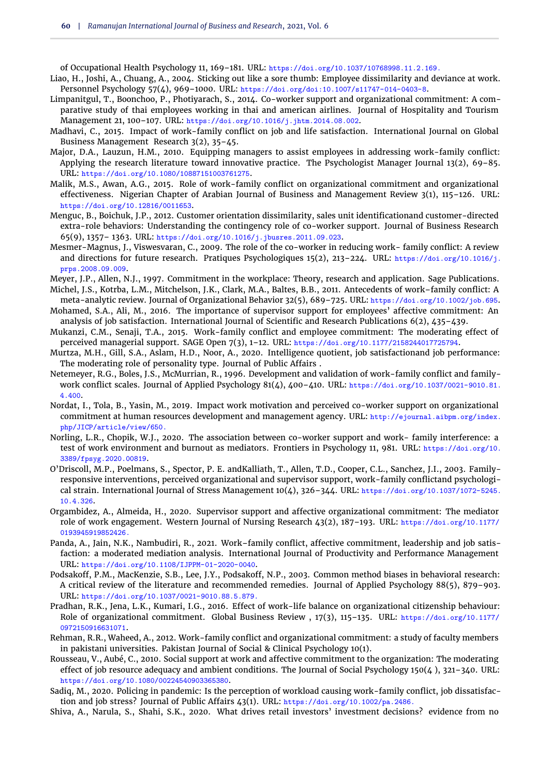of Occupational Health Psychology 11, 169–181. URL: https://doi.org/10.1037/10768998.11.2.169.

- <span id="page-11-13"></span>Liao, H., Joshi, A., Chuang, A., 2004. Sticking out like a sore thumb: Employee dissimilarity and deviance at work. Personnel Psychology 57(4), 969–1000. URL: https://doi.org/doi:10.1007/s11747-014-0403-8.
- <span id="page-11-3"></span>Limpanitgul, T., Boonchoo, P., Photiyarach, S., 2014. Co-worker support and organizational commitment: A comparative study of thai employees working in thai and american airlines. Journal of Hospitality and Tourism Management 21, 100–107. URL: https://doi.org/10.1016/j.jhtm.2014.08.002.
- <span id="page-11-1"></span>Madhavi, C., 2015. Impact of work-family conflict on job and life satisfaction. International Journal on Global Business Management Research 3(2), 35–45.
- <span id="page-11-21"></span>Major, D.A., Lauzun, H.M., 2010. Equipping managers to assist employees in addressing work-family conflict: Applying the research literature toward innovative practice. The Psychologist Manager Journal 13(2), 69-85. URL: https://doi.org/10.1080/10887151003761275.
- <span id="page-11-16"></span>Malik, M.S., Awan, A.G., 2015. Role of work-family conflict on organizational commitment and organizational effectiveness. Nigerian Chapter of Arabian Journal of Business and Management Review 3(1), 115–126. URL: https://doi.org/10.12816/0011653.
- <span id="page-11-8"></span>Menguc, B., Boichuk, J.P., 2012. Customer orientation dissimilarity, sales unit identificationand customer-directed extra-role behaviors: Understanding the contingency role of co-worker support. Journal of Business Research 65(9), 1357– 1363. URL: https://doi.org/10.1016/j.jbusres.2011.09.023.
- <span id="page-11-7"></span>Mesmer-Magnus, J., Viswesvaran, C., 2009. The role of the co-worker in reducing work- family conflict: A review and directions for future research. Pratiques Psychologiques 15(2), 213–224. URL: https://doi.org/10.1016/j. prps.2008.09.009.
- <span id="page-11-18"></span>Meyer, J.P., Allen, N.J., 1997. Commitment in the workplace: Theory, research and application. Sage Publications.
- <span id="page-11-9"></span>Michel, J.S., Kotrba, L.M., Mitchelson, J.K., Clark, M.A., Baltes, B.B., 2011. Antecedents of work–family conflict: A meta-analytic review. Journal of Organizational Behavior 32(5), 689–725. URL: https://doi.org/10.1002/job.695.
- <span id="page-11-12"></span>Mohamed, S.A., Ali, M., 2016. The importance of supervisor support for employees' affective commitment: An analysis of job satisfaction. International Journal of Scientific and Research Publications 6(2), 435–439.
- <span id="page-11-23"></span>Mukanzi, C.M., Senaji, T.A., 2015. Work-family conflict and employee commitment: The moderating effect of perceived managerial support. SAGE Open 7(3), 1–12. URL: https://doi.org/10.1177/2158244017725794.
- <span id="page-11-2"></span>Murtza, M.H., Gill, S.A., Aslam, H.D., Noor, A., 2020. Intelligence quotient, job satisfactionand job performance: The moderating role of personality type. Journal of Public Affairs .
- <span id="page-11-17"></span>Netemeyer, R.G., Boles, J.S., McMurrian, R., 1996. Development and validation of work-family conflict and familywork conflict scales. Journal of Applied Psychology 81(4), 400–410. URL: https://doi.org/10.1037/0021-9010.81. 4.400.
- <span id="page-11-14"></span>Nordat, I., Tola, B., Yasin, M., 2019. Impact work motivation and perceived co-worker support on organizational commitment at human resources development and management agency. URL: http://ejournal.aibpm.org/index. php/JICP/article/view/650.
- <span id="page-11-10"></span>Norling, L.R., Chopik, W.J., 2020. The association between co-worker support and work- family interference: a test of work environment and burnout as mediators. Frontiers in Psychology 11, 981. URL: https://doi.org/10. 3389/fpsyg.2020.00819.
- <span id="page-11-22"></span>O'Driscoll, M.P., Poelmans, S., Spector, P. E. andKalliath, T., Allen, T.D., Cooper, C.L., Sanchez, J.I., 2003. Familyresponsive interventions, perceived organizational and supervisor support, work-family conflictand psychological strain. International Journal of Stress Management 10(4), 326–344. URL: https://doi.org/10.1037/1072-5245. 10.4.326.
- <span id="page-11-11"></span>Orgambidez, A., Almeida, H., 2020. Supervisor support and affective organizational commitment: The mediator role of work engagement. Western Journal of Nursing Research 43(2), 187–193. URL: https://doi.org/10.1177/ 0193945919852426.
- <span id="page-11-5"></span>Panda, A., Jain, N.K., Nambudiri, R., 2021. Work–family conflict, affective commitment, leadership and job satisfaction: a moderated mediation analysis. International Journal of Productivity and Performance Management URL: https://doi.org/10.1108/IJPPM-01-2020-0040.
- <span id="page-11-19"></span>Podsakoff, P.M., MacKenzie, S.B., Lee, J.Y., Podsakoff, N.P., 2003. Common method biases in behavioral research: A critical review of the literature and recommended remedies. Journal of Applied Psychology 88(5), 879–903. URL: https://doi.org/10.1037/0021-9010.88.5.879.
- <span id="page-11-0"></span>Pradhan, R.K., Jena, L.K., Kumari, I.G., 2016. Effect of work-life balance on organizational citizenship behaviour: Role of organizational commitment. Global Business Review , 17(3), 115–135. URL: https://doi.org/10.1177/ 0972150916631071.
- <span id="page-11-15"></span>Rehman, R.R., Waheed, A., 2012. Work-family conflict and organizational commitment: a study of faculty members in pakistani universities. Pakistan Journal of Social & Clinical Psychology 10(1).
- <span id="page-11-6"></span>Rousseau, V., Aubé, C., 2010. Social support at work and affective commitment to the organization: The moderating effect of job resource adequacy and ambient conditions. The Journal of Social Psychology  $150(4)$ ,  $321-340$ . URL: https://doi.org/10.1080/00224540903365380.
- <span id="page-11-4"></span>Sadiq, M., 2020. Policing in pandemic: Is the perception of workload causing work-family conflict, job dissatisfaction and job stress? Journal of Public Affairs 43(1). URL: https://doi.org/10.1002/pa.2486.
- <span id="page-11-20"></span>Shiva, A., Narula, S., Shahi, S.K., 2020. What drives retail investors' investment decisions? evidence from no